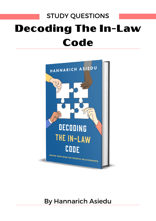# STUDY QUESTIONS Decoding The In-Law Code



# By Hannarich Asiedu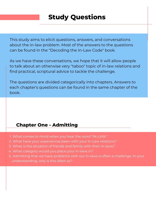This study aims to elicit questions, answers, and conversations about the in-law problem. Most of the answers to the questions can be found in the "Decoding the In-Law Code" book.

As we have these conversations, we hope that it will allow people to talk about an otherwise very "taboo" topic of in-law relations and find practical, scriptural advice to tackle the challenge.

The questions are divided categorically into chapters. Answers to each chapter's questions can be found in the same chapter of the book.

### **Chapter One - Admitting**

- What comes to mind when you hear the word "IN-LAW." 1.
- What have your experiences been with your In-Law relations? 2.
- What is the situation of friends and family with their in-laws? 3.
- What category would you place your in-laws in? 4.
- 5. Admitting that we have problems with our in-laws is often a challenge. In your understanding, why is this often so?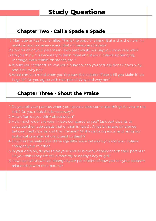#### **Chapter Two - Call a Spade a Spade**

- Marriage unites two families; This is the popular saying. But is this the norm in 1. reality in your experience and that of friends and family?
- 2.How much of your parents-in-law's past would you say you know very well?
- 3. Do you think it is necessary to learn more about your in-laws, upbringing, marriage, even childbirth stories, etc.?
- Would you "pretend" to love your in-laws when you actually don't? If yes, why, 4. and if no, why not?
- What came to mind when you first saw the chapter "Fake it till you Make it" on 5. Page 12? Do you agree with that point? Why and why not?

#### **Chapter Three - Shout the Praise**

- 1. Do you tell your parents when your spouse does some nice things for you or the kids? Do you think this is necessary?
- 2. How often do you think about death?
- 3. How much older are your in-laws compared to you? (ask participants to calculate their age versus that of their in-laws) . What is the age difference between participants and their in-laws? All things being equal and using our biological calendar, who is closest to death?
- How has the realization of the age difference between you and your in-laws 4. changed your mindset
- 5. In your opinion, do you think your spouse is overly dependent on their parents? Do you think they are still a mommy or daddy's boy or girl?
- 6. How has "All Grown Up" changed your perception of how you see your spouse's relationship with their parent?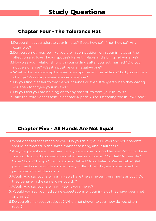### **Chapter Four - The Tolerance Hat**

- 1. Do you think you tolerate your in-laws? If yes, how so? If not, how so? Any examples?
- 2. Do you sometimes feel like you are in competition with your in-laws on the affection and love of your spouse? Parent in-laws and sibling in-laws alike?
- 3. How was your relationship with your siblings after you got married? Did you notice a change? Was it a positive or a negative one?
- What is the relationship between your spouse and his siblings? Did you notice a 4. change? Was it a positive or a negative one?
- 5. Do you find it easier to forgive your friends or even strangers when they wrong you than to forgive your in-laws?
- 6. Do you feel you are holding on to any past hurts from your in-laws?
- Take the "forgiveness test" in chapter 4, page 28 of "Decoding the In-law Code." 7.

## **Chapter Five - All Hands Are Not Equal**

- What does fairness mean to you? Do you think your in-laws and your parents 1. should be treated in the same manner to bring about fairness?
- 2. Are your parents and the parents of your spouse on good terms? Which of these one words would you use to describe their relationship? Cordial? Agreeable? Close? Enjoy? Happy? Toxic? Anger? Hatred? Nonchalant? Respectable? (let participants write words anonymously, collect the total, and determine the percentage for all the words)
- Would you say your siblings' in-laws have the same temperaments as you? Do 3. they behave in the same ways you do?
- Would you say your sibling-in-law is your friend? 4.
- Would you say you had some expectations of your in-laws that have been met 5. or unmet?
- 6. Do you often expect gratitude? When not shown to you, how do you often react?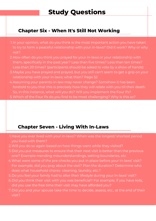## **Chapter Six - When It's Still Not Working**

- 1.In your opinion, what do you think is the most important action you have taken to try to form a peaceful relationship with your in-laws? Did it work? Why or why not?
- 2. How often do you think you prayed for your in-laws or your relationship with them, specifically in the past year? Less than five times? Less than ten times? Less than 20 times? (participants should be asked to vote by a show of hands)
- Maybe you have prayed and prayed, but you still can't seem to get a grip on your 3. relationship with your in-laws; what then? Page 52
- Assuming your parents-in-law may never change? Somehow it has been 4. foretold to you that this is precisely how they will relate with you till their death. So, in this instance, what will you do? Will you implement the Four Ps?
- Which of the Four Ps do you find to be most challenging? Why is this so? 5.

### **Chapter Seven - Living With In-Laws**

- 1.Have you ever lived with your in-laws? When was the longest/ shortest period you lived with them?
- Will you do so again based on how things went while they visited? 2.
- 3. Did you put measures to ensure that their next visit is better than the previous one? Example mending misunderstandings, setting boundaries, etc
- What were some of the pre-checks you put in place before your in-laws' visit? 4. For example, did you pray about the visit? Plan the duration? Determine who does what household chores- cleaning, laundry, etc.?
- 5. Do you feel your family had to alter their lifestyle during your in-laws' visit?
- 6. Did you think their visit with you was beneficial? For example, if you have kids, did you use the free time their visit may have afforded you?
- Did you and your spouse take the time to decide, assess, etc., at the end of their 7. visit?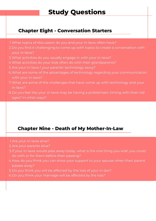## **Chapter Eight - Conversation Starters**

- What topics of discussion do you and your in-laws often have? 1.
- 2. Do you find it challenging to come up with topics to create a conversation with your in-laws?
- What activities do you usually engage in with your in-laws? 3.
- What activities do your kids often do with their grandparents? 4.
- 5. Are your in-laws / your parents' technology savvy?
- What are some of the advantages of technology regarding your communication 6. with your in-laws?
- What are some of the challenges that have come up with technology and your 7. in-laws?
- 8. Do you feel like your in-laws may be having a problematic timing with their old ages? In what ways?

## **Chapter Nine - Death of My Mother-In-Law**

- Are your in-laws alive? 1.
- 2. Are your parents alive?
- If your in-laws would pass away today, what is the one thing you wish you could 3. do with or for them before their passing?
- How do you think you can show your support to your spouse when their parent 4. passes away?
- 5. Do you think you will be affected by the loss of your in-law?
- 6. Do you think your marriage will be affected by the loss?